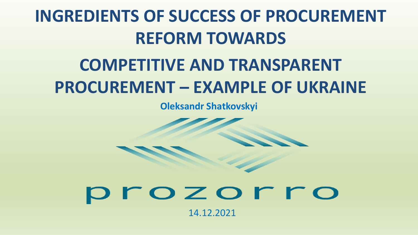# **INGREDIENTS OF SUCCESS OF PROCUREMENT REFORM TOWARDS**

# **COMPETITIVE AND TRANSPARENT PROCUREMENT – EXAMPLE OF UKRAINE**

**Oleksandr Shatkovskyi**



prozorro 14.12.2021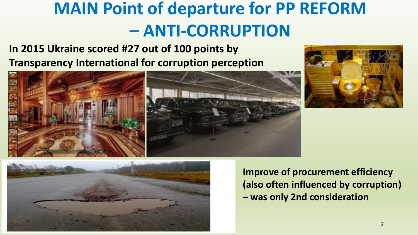# **MAIN Point of departure for PP REFORM – ANTI-CORRUPTION**

#### **In 2015 Ukraine scored #27 out of 100 points by Transparency International for corruption perception**







**Improve of procurement efficiency (also often influenced by corruption) – was only 2nd consideration**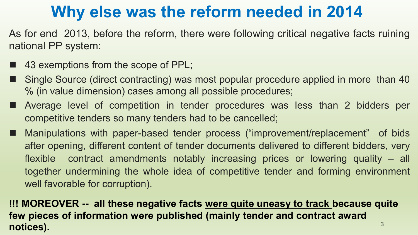# **Why else was the reform needed in 2014**

As for end 2013, before the reform, there were following critical negative facts ruining national PP system:

- 43 exemptions from the scope of PPL;
- Single Source (direct contracting) was most popular procedure applied in more than 40 % (in value dimension) cases among all possible procedures;
- Average level of competition in tender procedures was less than 2 bidders per competitive tenders so many tenders had to be cancelled;
- Manipulations with paper-based tender process ("improvement/replacement" of bids after opening, different content of tender documents delivered to different bidders, very flexible contract amendments notably increasing prices or lowering quality – all together undermining the whole idea of competitive tender and forming environment well favorable for corruption).

**!!! MOREOVER -- all these negative facts were quite uneasy to track because quite few pieces of information were published (mainly tender and contract award notices).** <sup>3</sup>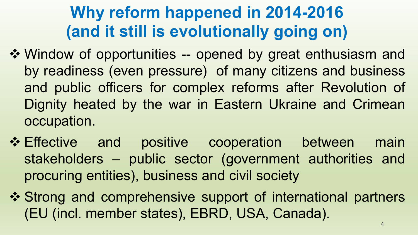# **Why reform happened in 2014-2016 (and it still is evolutionally going on)**

- ❖ Window of opportunities -- opened by great enthusiasm and by readiness (even pressure) of many citizens and business and public officers for complex reforms after Revolution of Dignity heated by the war in Eastern Ukraine and Crimean occupation.
- **❖ Effective and positive cooperation between main** stakeholders – public sector (government authorities and procuring entities), business and civil society
- ❖ Strong and comprehensive support of international partners (EU (incl. member states), EBRD, USA, Canada).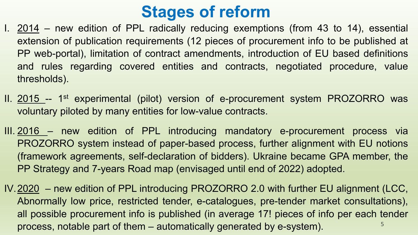# **Stages of reform**

- I. 2014 new edition of PPL radically reducing exemptions (from 43 to 14), essential extension of publication requirements (12 pieces of procurement info to be published at PP web-portal), limitation of contract amendments, introduction of EU based definitions and rules regarding covered entities and contracts, negotiated procedure, value thresholds).
- II. 2015 -- 1<sup>st</sup> experimental (pilot) version of e-procurement system PROZORRO was voluntary piloted by many entities for low-value contracts.
- III. 2016 new edition of PPL introducing mandatory e-procurement process via PROZORRO system instead of paper-based process, further alignment with EU notions (framework agreements, self-declaration of bidders). Ukraine became GPA member, the PP Strategy and 7-years Road map (envisaged until end of 2022) adopted.
- IV.2020 new edition of PPL introducing PROZORRO 2.0 with further EU alignment (LCC, Abnormally low price, restricted tender, e-catalogues, pre-tender market consultations), all possible procurement info is published (in average 17! pieces of info per each tender process, notable part of them – automatically generated by e-system). 5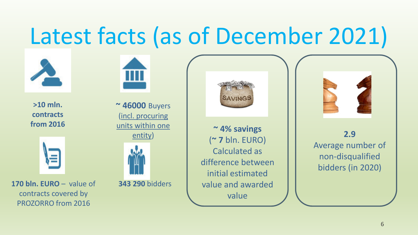# Latest facts (as of December 2021)



**>10 mln. contracts from 2016**



**170 bln. EURO** – value of contracts covered by PROZORRO from 2016



**~ 46000** Buyers (incl. procuring units within one entity)

**343 290** bidders



**~ 4% savings**  (**~ 7** bln. EURO) Calculated as difference between initial estimated value and awarded value



**2.9** Average number of non-disqualified bidders (in 2020)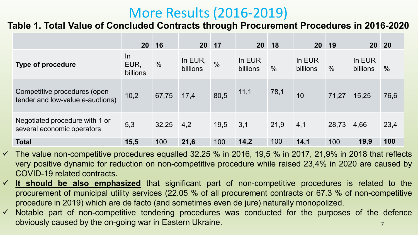#### More Results (2016-2019)

#### **Table 1. Total Value of Concluded Contracts through Procurement Procedures in 2016-2020**

|                                                                  | 20 <sub>2</sub>           | 16            | 20 <sub>2</sub>     | 17            | 20 <sub>2</sub>    | 18            | 20                 | 19            | 20 <sub>1</sub>    | <b>20</b> |
|------------------------------------------------------------------|---------------------------|---------------|---------------------|---------------|--------------------|---------------|--------------------|---------------|--------------------|-----------|
| <b>Type of procedure</b>                                         | $\ln$<br>EUR,<br>billions | $\frac{0}{0}$ | In EUR,<br>billions | $\frac{0}{0}$ | In EUR<br>billions | $\frac{0}{0}$ | In EUR<br>billions | $\frac{0}{0}$ | In EUR<br>billions | $\%$      |
| Competitive procedures (open<br>tender and low-value e-auctions) | 10,2                      | 67,75         | 17,4                | 80,5          | 11,1               | 78,1          | 10                 | 71,27         | 15,25              | 76,6      |
| Negotiated procedure with 1 or<br>several economic operators     | 5,3                       | 32,25         | 4,2                 | 19,5          | 3,1                | 21,9          | 4,1                | 28,73         | 4,66               | 23,4      |
| <b>Total</b>                                                     | 15,5                      | 100           | 21,6                | 100           | 14,2               | 100           | 14,1               | 100           | 19,9               | 100       |

- $\checkmark$  The value non-competitive procedures equalled 32.25 % in 2016, 19,5 % in 2017, 21,9% in 2018 that reflects very positive dynamic for reduction on non-competitive procedure while raised 23,4% in 2020 are caused by COVID-19 related contracts.
- ✓ **It should be also emphasized** that significant part of non-competitive procedures is related to the procurement of municipal utility services (22.05 % of all procurement contracts or 67.3 % of non-competitive procedure in 2019) which are de facto (and sometimes even de jure) naturally monopolized.
- $\checkmark$  Notable part of non-competitive tendering procedures was conducted for the purposes of the defence obviously caused by the on-going war in Eastern Ukraine. <sup>7</sup>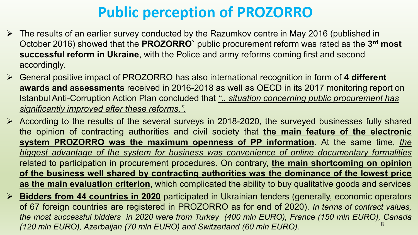### **Public perception of PROZORRO**

- $\triangleright$  The results of an earlier survey conducted by the Razumkov centre in May 2016 (published in October 2016) showed that the **PROZORRO`** public procurement reform was rated as the **3 rd most successful reform in Ukraine**, with the Police and army reforms coming first and second accordingly.
- ➢ General positive impact of PROZORRO has also international recognition in form of **4 different awards and assessments** received in 2016-2018 as well as OECD in its 2017 monitoring report on Istanbul Anti-Corruption Action Plan concluded that *".. situation concerning public procurement has significantly improved after these reforms.".*
- ➢ According to the results of the several surveys in 2018-2020, the surveyed businesses fully shared the opinion of contracting authorities and civil society that **the main feature of the electronic system PROZORRO was the maximum openness of PP information**. At the same time, *the biggest advantage of the system for business was convenience of online documentary formalities* related to participation in procurement procedures. On contrary, **the main shortcoming on opinion of the business well shared by contracting authorities was the dominance of the lowest price as the main evaluation criterion**, which complicated the ability to buy qualitative goods and services
- ➢ **Bidders from 44 countries in 2020** participated in Ukrainian tenders (generally, economic operators of 67 foreign countries are registered in PROZORRO as for end of 2020). *In terms of contract values, the most successful bidders in 2020 were from Turkey (400 mln EURO), France (150 mln EURO), Canada (120 mln EURO), Azerbaijan (70 mln EURO) and Switzerland (60 mln EURO).* 8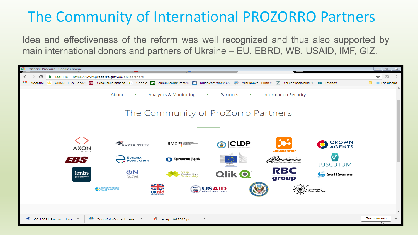### The Community of International PROZORRO Partners

Idea and effectiveness of the reform was well recognized and thus also supported by main international donors and partners of Ukraine – EU, EBRD, WB, USAID, IMF, GIZ.

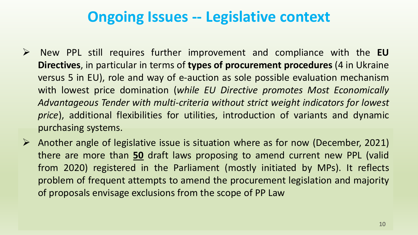#### **Ongoing Issues -- Legislative context**

- ➢ New PPL still requires further improvement and compliance with the **EU Directives**, in particular in terms of **types of procurement procedures** (4 in Ukraine versus 5 in EU), role and way of e-auction as sole possible evaluation mechanism with lowest price domination (*while EU Directive promotes Most Economically Advantageous Tender with multi-criteria without strict weight indicators for lowest price*), additional flexibilities for utilities, introduction of variants and dynamic purchasing systems.
- $\triangleright$  Another angle of legislative issue is situation where as for now (December, 2021) there are more than **50** draft laws proposing to amend current new PPL (valid from 2020) registered in the Parliament (mostly initiated by MPs). It reflects problem of frequent attempts to amend the procurement legislation and majority of proposals envisage exclusions from the scope of PP Law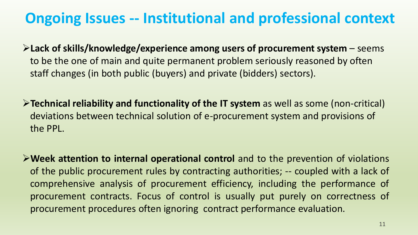### **Ongoing Issues -- Institutional and professional context**

- ➢**Lack of skills/knowledge/experience among users of procurement system**  seems to be the one of main and quite permanent problem seriously reasoned by often staff changes (in both public (buyers) and private (bidders) sectors).
- ➢**Technical reliability and functionality of the IT system** as well as some (non-critical) deviations between technical solution of e-procurement system and provisions of the PPL.
- ➢**Week attention to internal operational control** and to the prevention of violations of the public procurement rules by contracting authorities; -- coupled with a lack of comprehensive analysis of procurement efficiency, including the performance of procurement contracts. Focus of control is usually put purely on correctness of procurement procedures often ignoring contract performance evaluation.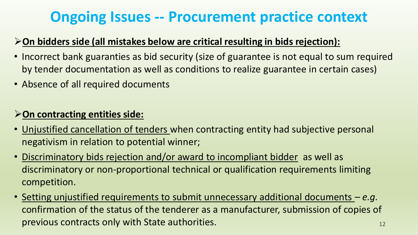### **Ongoing Issues -- Procurement practice context**

#### ➢**On bidders side (all mistakes below are critical resulting in bids rejection):**

- Incorrect bank guaranties as bid security (size of guarantee is not equal to sum required by tender documentation as well as conditions to realize guarantee in certain cases)
- Absence of all required documents

#### ➢**On contracting entities side:**

- Unjustified cancellation of tenders when contracting entity had subjective personal negativism in relation to potential winner;
- Discriminatory bids rejection and/or award to incompliant bidder as well as discriminatory or non-proportional technical or qualification requirements limiting competition.
- Setting unjustified requirements to submit unnecessary additional documents *– e.g.*  confirmation of the status of the tenderer as a manufacturer, submission of copies of previous contracts only with State authorities. The contracts on the contracts on the contracts only with State authorities.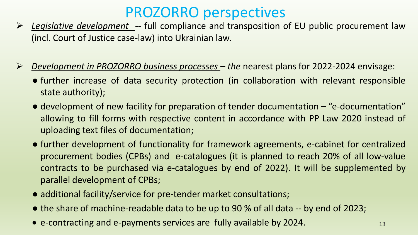#### PROZORRO perspectives

- ➢ *Legislative development --* full compliance and transposition of EU public procurement law (incl. Court of Justice case-law) into Ukrainian law.
- ➢ *Development in PROZORRO business processes – the* nearest plans for 2022-2024 envisage:
	- further increase of data security protection (in collaboration with relevant responsible state authority);
	- development of new facility for preparation of tender documentation "e-documentation" allowing to fill forms with respective content in accordance with PP Law 2020 instead of uploading text files of documentation;
	- further development of functionality for framework agreements, e-cabinet for centralized procurement bodies (CPBs) and e-catalogues (it is planned to reach 20% of all low-value contracts to be purchased via e-catalogues by end of 2022). It will be supplemented by parallel development of CPBs;
	- additional facility/service for pre-tender market consultations;
	- the share of machine-readable data to be up to 90 % of all data -- by end of 2023;
	- e-contracting and e-payments services are fully available by 2024.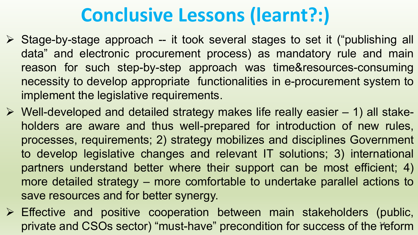# **Conclusive Lessons (learnt?:)**

- ➢ Stage-by-stage approach -- it took several stages to set it ("publishing all data" and electronic procurement process) as mandatory rule and main reason for such step-by-step approach was time&resources-consuming necessity to develop appropriate functionalities in e-procurement system to implement the legislative requirements.
- $\triangleright$  Well-developed and detailed strategy makes life really easier  $-1$ ) all stakeholders are aware and thus well-prepared for introduction of new rules, processes, requirements; 2) strategy mobilizes and disciplines Government to develop legislative changes and relevant IT solutions; 3) international partners understand better where their support can be most efficient; 4) more detailed strategy – more comfortable to undertake parallel actions to save resources and for better synergy.
- ➢ Effective and positive cooperation between main stakeholders (public, private and CSOs sector) "must-have" precondition for success of the reform